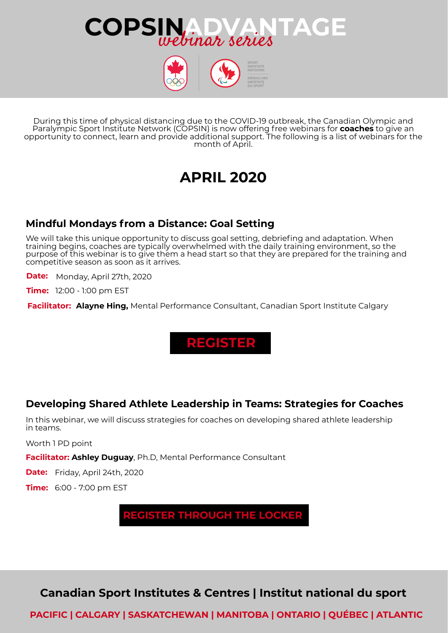



During this time of physical distancing due to the COVID-19 outbreak, the Canadian Olympic and Paralympic Sport Institute Network (COPSIN) is now offering free webinars for **coaches** to give an opportunity to connect, learn and provide additional support. The following is a list of webinars for the month of April.

# **APRIL 2020**

### **Mindful Mondays from a Distance: Goal Setting**

We will take this unique opportunity to discuss goal setting, debriefing and adaptation. When training begins, coaches are typically overwhelmed with the daily training environment, so the purpose of this webinar is to give them a head start so that they are prepared for the training and competitive season as soon as it arrives.

**Date:** Monday, April 27th, 2020

**Time:** 12:00 - 1:00 pm EST

**Facilitator: Alayne Hing,** Mental Performance Consultant, Canadian Sport Institute Calgary

**[REGISTER](https://www.surveymonkey.com/r/GPCOPSIN4Coaches)**

### **Developing Shared Athlete Leadership in Teams: Strategies for Coaches**

In this webinar, we will discuss strategies for coaches on developing shared athlete leadership in teams.

Worth 1 PD point

**Facilitator: Ashley Duguay**, Ph.D, Mental Performance Consultant

**Date:** Friday, April 24th, 2020

**Time:** 6:00 - 7:00 pm EST

**REGISTER [THROUGH](https://thelocker.coach.ca/event/public/5367213) THE LOCKER**

**Canadian Sport Institutes & Centres | Institut national du sport**

**PACIFIC | CALGARY | SASKATCHEWAN | MANITOBA | ONTARIO | QUÉBEC | ATLANTIC**